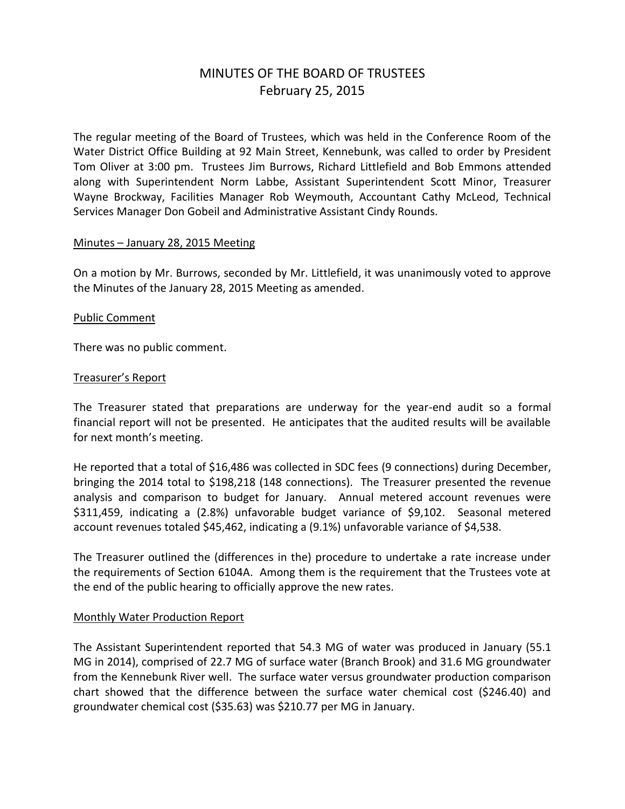# MINUTES OF THE BOARD OF TRUSTEES February 25, 2015

The regular meeting of the Board of Trustees, which was held in the Conference Room of the Water District Office Building at 92 Main Street, Kennebunk, was called to order by President Tom Oliver at 3:00 pm. Trustees Jim Burrows, Richard Littlefield and Bob Emmons attended along with Superintendent Norm Labbe, Assistant Superintendent Scott Minor, Treasurer Wayne Brockway, Facilities Manager Rob Weymouth, Accountant Cathy McLeod, Technical Services Manager Don Gobeil and Administrative Assistant Cindy Rounds.

#### Minutes – January 28, 2015 Meeting

On a motion by Mr. Burrows, seconded by Mr. Littlefield, it was unanimously voted to approve the Minutes of the January 28, 2015 Meeting as amended.

#### Public Comment

There was no public comment.

#### Treasurer's Report

The Treasurer stated that preparations are underway for the year-end audit so a formal financial report will not be presented. He anticipates that the audited results will be available for next month's meeting.

He reported that a total of \$16,486 was collected in SDC fees (9 connections) during December, bringing the 2014 total to \$198,218 (148 connections). The Treasurer presented the revenue analysis and comparison to budget for January. Annual metered account revenues were \$311,459, indicating a (2.8%) unfavorable budget variance of \$9,102. Seasonal metered account revenues totaled \$45,462, indicating a (9.1%) unfavorable variance of \$4,538.

The Treasurer outlined the (differences in the) procedure to undertake a rate increase under the requirements of Section 6104A. Among them is the requirement that the Trustees vote at the end of the public hearing to officially approve the new rates.

#### Monthly Water Production Report

The Assistant Superintendent reported that 54.3 MG of water was produced in January (55.1 MG in 2014), comprised of 22.7 MG of surface water (Branch Brook) and 31.6 MG groundwater from the Kennebunk River well. The surface water versus groundwater production comparison chart showed that the difference between the surface water chemical cost (\$246.40) and groundwater chemical cost (\$35.63) was \$210.77 per MG in January.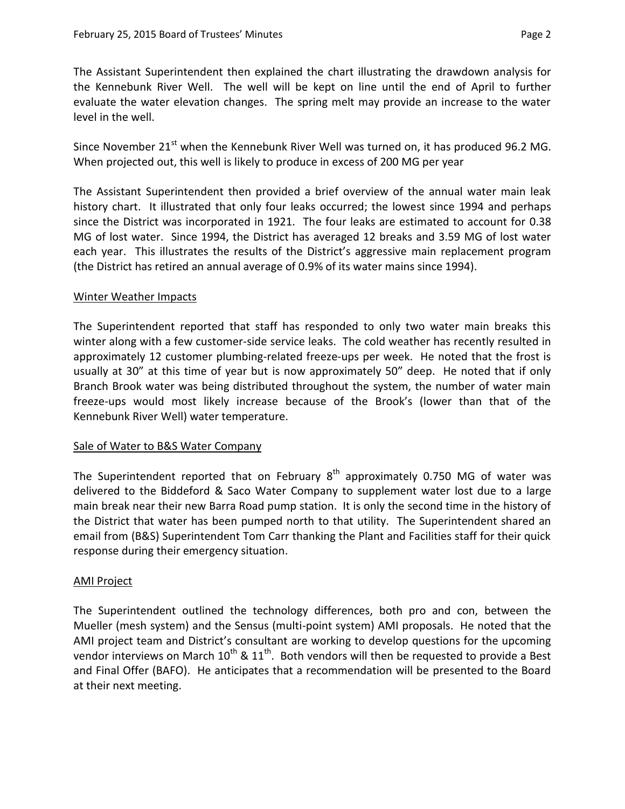The Assistant Superintendent then explained the chart illustrating the drawdown analysis for the Kennebunk River Well. The well will be kept on line until the end of April to further evaluate the water elevation changes. The spring melt may provide an increase to the water level in the well.

Since November 21<sup>st</sup> when the Kennebunk River Well was turned on, it has produced 96.2 MG. When projected out, this well is likely to produce in excess of 200 MG per year

The Assistant Superintendent then provided a brief overview of the annual water main leak history chart. It illustrated that only four leaks occurred; the lowest since 1994 and perhaps since the District was incorporated in 1921. The four leaks are estimated to account for 0.38 MG of lost water. Since 1994, the District has averaged 12 breaks and 3.59 MG of lost water each year. This illustrates the results of the District's aggressive main replacement program (the District has retired an annual average of 0.9% of its water mains since 1994).

### Winter Weather Impacts

The Superintendent reported that staff has responded to only two water main breaks this winter along with a few customer-side service leaks. The cold weather has recently resulted in approximately 12 customer plumbing-related freeze-ups per week. He noted that the frost is usually at 30" at this time of year but is now approximately 50" deep. He noted that if only Branch Brook water was being distributed throughout the system, the number of water main freeze-ups would most likely increase because of the Brook's (lower than that of the Kennebunk River Well) water temperature.

#### Sale of Water to B&S Water Company

The Superintendent reported that on February  $8<sup>th</sup>$  approximately 0.750 MG of water was delivered to the Biddeford & Saco Water Company to supplement water lost due to a large main break near their new Barra Road pump station. It is only the second time in the history of the District that water has been pumped north to that utility. The Superintendent shared an email from (B&S) Superintendent Tom Carr thanking the Plant and Facilities staff for their quick response during their emergency situation.

## AMI Project

The Superintendent outlined the technology differences, both pro and con, between the Mueller (mesh system) and the Sensus (multi-point system) AMI proposals. He noted that the AMI project team and District's consultant are working to develop questions for the upcoming vendor interviews on March 10<sup>th</sup> & 11<sup>th</sup>. Both vendors will then be requested to provide a Best and Final Offer (BAFO). He anticipates that a recommendation will be presented to the Board at their next meeting.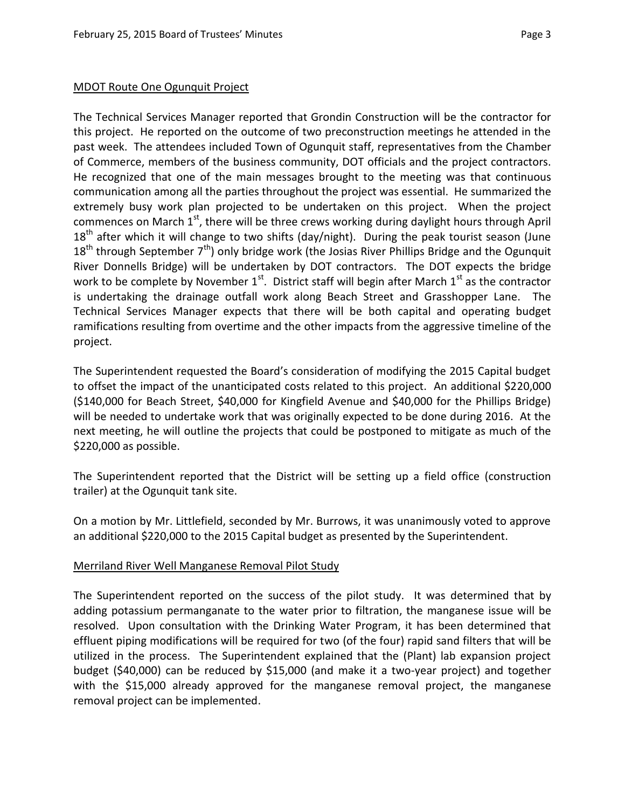#### MDOT Route One Ogunquit Project

The Technical Services Manager reported that Grondin Construction will be the contractor for this project. He reported on the outcome of two preconstruction meetings he attended in the past week. The attendees included Town of Ogunquit staff, representatives from the Chamber of Commerce, members of the business community, DOT officials and the project contractors. He recognized that one of the main messages brought to the meeting was that continuous communication among all the parties throughout the project was essential. He summarized the extremely busy work plan projected to be undertaken on this project. When the project commences on March 1<sup>st</sup>, there will be three crews working during daylight hours through April  $18<sup>th</sup>$  after which it will change to two shifts (day/night). During the peak tourist season (June  $18<sup>th</sup>$  through September 7<sup>th</sup>) only bridge work (the Josias River Phillips Bridge and the Ogunquit River Donnells Bridge) will be undertaken by DOT contractors. The DOT expects the bridge work to be complete by November  $1^{\text{st}}$ . District staff will begin after March  $1^{\text{st}}$  as the contractor is undertaking the drainage outfall work along Beach Street and Grasshopper Lane. The Technical Services Manager expects that there will be both capital and operating budget ramifications resulting from overtime and the other impacts from the aggressive timeline of the project.

The Superintendent requested the Board's consideration of modifying the 2015 Capital budget to offset the impact of the unanticipated costs related to this project. An additional \$220,000 (\$140,000 for Beach Street, \$40,000 for Kingfield Avenue and \$40,000 for the Phillips Bridge) will be needed to undertake work that was originally expected to be done during 2016. At the next meeting, he will outline the projects that could be postponed to mitigate as much of the \$220,000 as possible.

The Superintendent reported that the District will be setting up a field office (construction trailer) at the Ogunquit tank site.

On a motion by Mr. Littlefield, seconded by Mr. Burrows, it was unanimously voted to approve an additional \$220,000 to the 2015 Capital budget as presented by the Superintendent.

#### Merriland River Well Manganese Removal Pilot Study

The Superintendent reported on the success of the pilot study. It was determined that by adding potassium permanganate to the water prior to filtration, the manganese issue will be resolved. Upon consultation with the Drinking Water Program, it has been determined that effluent piping modifications will be required for two (of the four) rapid sand filters that will be utilized in the process. The Superintendent explained that the (Plant) lab expansion project budget (\$40,000) can be reduced by \$15,000 (and make it a two-year project) and together with the \$15,000 already approved for the manganese removal project, the manganese removal project can be implemented.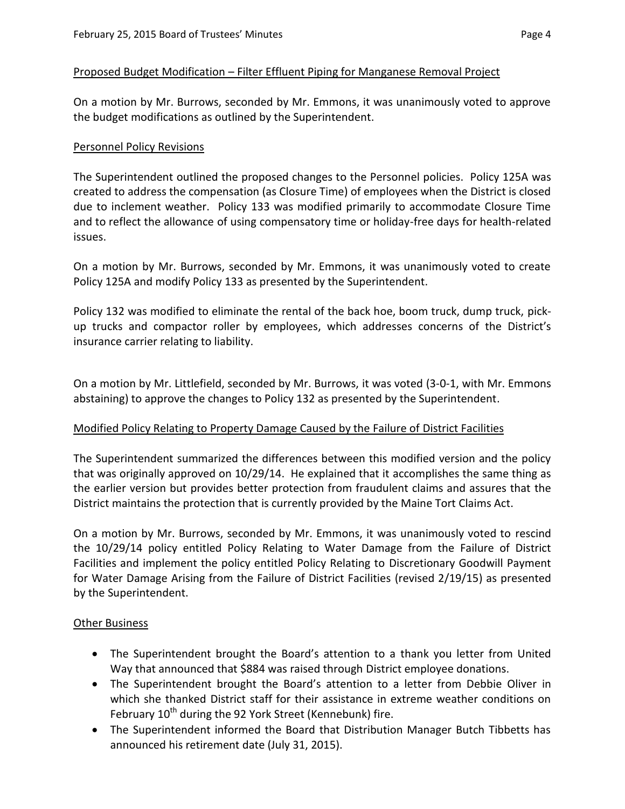#### Proposed Budget Modification – Filter Effluent Piping for Manganese Removal Project

On a motion by Mr. Burrows, seconded by Mr. Emmons, it was unanimously voted to approve the budget modifications as outlined by the Superintendent.

#### Personnel Policy Revisions

The Superintendent outlined the proposed changes to the Personnel policies. Policy 125A was created to address the compensation (as Closure Time) of employees when the District is closed due to inclement weather. Policy 133 was modified primarily to accommodate Closure Time and to reflect the allowance of using compensatory time or holiday-free days for health-related issues.

On a motion by Mr. Burrows, seconded by Mr. Emmons, it was unanimously voted to create Policy 125A and modify Policy 133 as presented by the Superintendent.

Policy 132 was modified to eliminate the rental of the back hoe, boom truck, dump truck, pickup trucks and compactor roller by employees, which addresses concerns of the District's insurance carrier relating to liability.

On a motion by Mr. Littlefield, seconded by Mr. Burrows, it was voted (3-0-1, with Mr. Emmons abstaining) to approve the changes to Policy 132 as presented by the Superintendent.

#### Modified Policy Relating to Property Damage Caused by the Failure of District Facilities

The Superintendent summarized the differences between this modified version and the policy that was originally approved on 10/29/14. He explained that it accomplishes the same thing as the earlier version but provides better protection from fraudulent claims and assures that the District maintains the protection that is currently provided by the Maine Tort Claims Act.

On a motion by Mr. Burrows, seconded by Mr. Emmons, it was unanimously voted to rescind the 10/29/14 policy entitled Policy Relating to Water Damage from the Failure of District Facilities and implement the policy entitled Policy Relating to Discretionary Goodwill Payment for Water Damage Arising from the Failure of District Facilities (revised 2/19/15) as presented by the Superintendent.

#### **Other Business**

- The Superintendent brought the Board's attention to a thank you letter from United Way that announced that \$884 was raised through District employee donations.
- The Superintendent brought the Board's attention to a letter from Debbie Oliver in which she thanked District staff for their assistance in extreme weather conditions on February  $10^{th}$  during the 92 York Street (Kennebunk) fire.
- The Superintendent informed the Board that Distribution Manager Butch Tibbetts has announced his retirement date (July 31, 2015).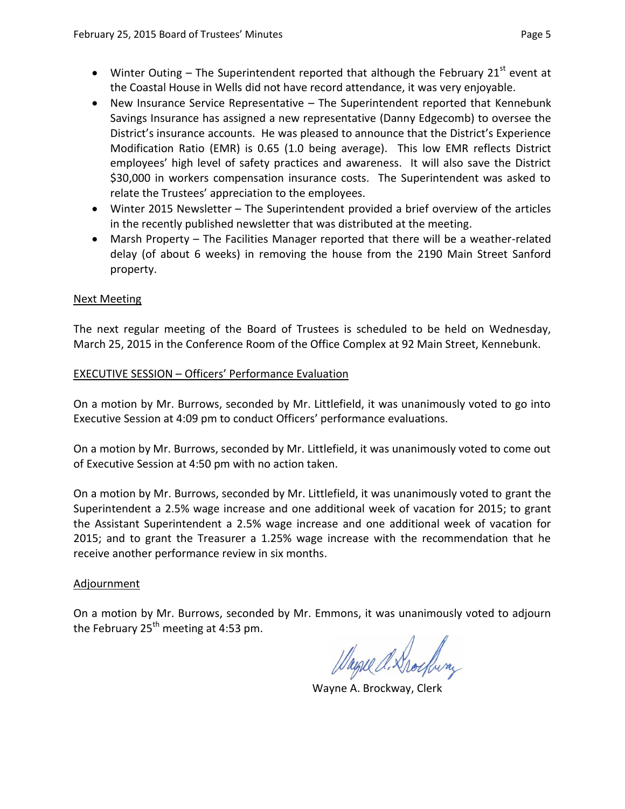- Winter Outing The Superintendent reported that although the February  $21^{st}$  event at the Coastal House in Wells did not have record attendance, it was very enjoyable.
- New Insurance Service Representative The Superintendent reported that Kennebunk Savings Insurance has assigned a new representative (Danny Edgecomb) to oversee the District's insurance accounts. He was pleased to announce that the District's Experience Modification Ratio (EMR) is 0.65 (1.0 being average). This low EMR reflects District employees' high level of safety practices and awareness. It will also save the District \$30,000 in workers compensation insurance costs. The Superintendent was asked to relate the Trustees' appreciation to the employees.
- Winter 2015 Newsletter The Superintendent provided a brief overview of the articles in the recently published newsletter that was distributed at the meeting.
- Marsh Property The Facilities Manager reported that there will be a weather-related delay (of about 6 weeks) in removing the house from the 2190 Main Street Sanford property.

## Next Meeting

The next regular meeting of the Board of Trustees is scheduled to be held on Wednesday, March 25, 2015 in the Conference Room of the Office Complex at 92 Main Street, Kennebunk.

### EXECUTIVE SESSION – Officers' Performance Evaluation

On a motion by Mr. Burrows, seconded by Mr. Littlefield, it was unanimously voted to go into Executive Session at 4:09 pm to conduct Officers' performance evaluations.

On a motion by Mr. Burrows, seconded by Mr. Littlefield, it was unanimously voted to come out of Executive Session at 4:50 pm with no action taken.

On a motion by Mr. Burrows, seconded by Mr. Littlefield, it was unanimously voted to grant the Superintendent a 2.5% wage increase and one additional week of vacation for 2015; to grant the Assistant Superintendent a 2.5% wage increase and one additional week of vacation for 2015; and to grant the Treasurer a 1.25% wage increase with the recommendation that he receive another performance review in six months.

#### Adjournment

On a motion by Mr. Burrows, seconded by Mr. Emmons, it was unanimously voted to adjourn the February  $25<sup>th</sup>$  meeting at 4:53 pm.

Wayne A. Drockway

Wayne A. Brockway, Clerk